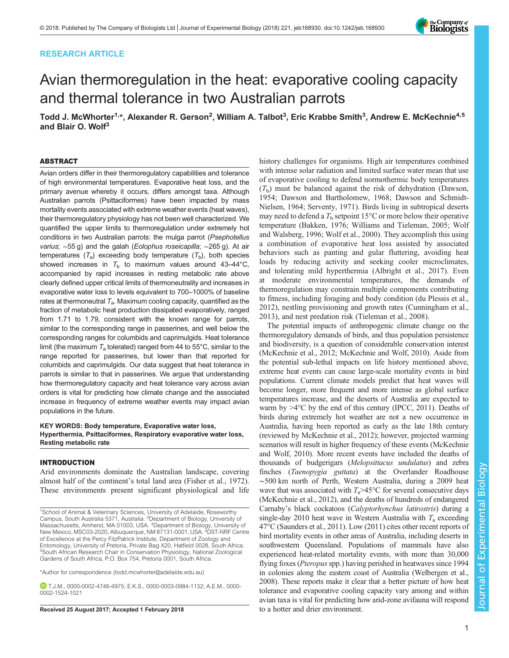# RESEARCH ARTICLE



# Avian thermoregulation in the heat: evaporative cooling capacity and thermal tolerance in two Australian parrots

Todd J. McWhorter<sup>1,</sup>\*, Alexander R. Gerson<sup>2</sup>, William A. Talbot<sup>3</sup>, Eric Krabbe Smith<sup>3</sup>, Andrew E. McKechnie<sup>4,5</sup> and Blair O. Wolf<sup>3</sup>

#### ABSTRACT

Avian orders differ in their thermoregulatory capabilities and tolerance of high environmental temperatures. Evaporative heat loss, and the primary avenue whereby it occurs, differs amongst taxa. Although Australian parrots (Psittaciformes) have been impacted by mass mortality events associated with extreme weather events (heat waves), their thermoregulatory physiology has not been well characterized. We quantified the upper limits to thermoregulation under extremely hot conditions in two Australian parrots: the mulga parrot (Psephotellus varius; ~55 g) and the galah (Eolophus roseicapilla; ~265 g). At air temperatures  $(T_a)$  exceeding body temperature  $(T_b)$ , both species showed increases in  $T<sub>b</sub>$  to maximum values around 43–44°C, accompanied by rapid increases in resting metabolic rate above clearly defined upper critical limits of thermoneutrality and increases in evaporative water loss to levels equivalent to 700–1000% of baseline rates at thermoneutral  $T_a$ . Maximum cooling capacity, quantified as the fraction of metabolic heat production dissipated evaporatively, ranged from 1.71 to 1.79, consistent with the known range for parrots, similar to the corresponding range in passerines, and well below the corresponding ranges for columbids and caprimulgids. Heat tolerance limit (the maximum  $T_a$  tolerated) ranged from 44 to 55°C, similar to the range reported for passerines, but lower than that reported for columbids and caprimulgids. Our data suggest that heat tolerance in parrots is similar to that in passerines. We argue that understanding how thermoregulatory capacity and heat tolerance vary across avian orders is vital for predicting how climate change and the associated increase in frequency of extreme weather events may impact avian populations in the future.

## KEY WORDS: Body temperature, Evaporative water loss, Hyperthermia, Psittaciformes, Respiratory evaporative water loss, Resting metabolic rate

## INTRODUCTION

Arid environments dominate the Australian landscape, covering almost half of the continent's total land area ([Fisher et al., 1972\)](#page-8-0). These environments present significant physiological and life

\*Author for correspondence [\(todd.mcwhorter@adelaide.edu.au](mailto:todd.mcwhorter@adelaide.edu.au))

T.J.M., [0000-0002-4746-4975](http://orcid.org/0000-0002-4746-4975); E.K.S., [0000-0003-0984-1132;](http://orcid.org/0000-0003-0984-1132) A.E.M., [0000-](http://orcid.org/0000-0002-1524-1021) [0002-1524-1021](http://orcid.org/0000-0002-1524-1021)

Received 25 August 2017; Accepted 1 February 2018 to a hotter and drier environment.

history challenges for organisms. High air temperatures combined with intense solar radiation and limited surface water mean that use of evaporative cooling to defend normothermic body temperatures  $(T<sub>b</sub>)$  must be balanced against the risk of dehydration ([Dawson,](#page-8-0) [1954; Dawson and Bartholomew, 1968; Dawson and Schmidt-](#page-8-0)[Nielsen, 1964;](#page-8-0) [Serventy, 1971](#page-9-0)). Birds living in subtropical deserts may need to defend a  $T<sub>b</sub>$  setpoint 15°C or more below their operative temperature ([Bakken, 1976;](#page-8-0) [Williams and Tieleman, 2005; Wolf](#page-9-0) [and Walsberg, 1996; Wolf et al., 2000](#page-9-0)). They accomplish this using a combination of evaporative heat loss assisted by associated behaviors such as panting and gular fluttering, avoiding heat loads by reducing activity and seeking cooler microclimates, and tolerating mild hyperthermia ([Albright et al., 2017\)](#page-8-0). Even at moderate environmental temperatures, the demands of thermoregulation may constrain multiple components contributing to fitness, including foraging and body condition ([du Plessis et al.,](#page-8-0) [2012\)](#page-8-0), nestling provisioning and growth rates [\(Cunningham et al.,](#page-8-0) [2013\)](#page-8-0), and nest predation risk ([Tieleman et al., 2008](#page-9-0)).

The potential impacts of anthropogenic climate change on the thermoregulatory demands of birds, and thus population persistence and biodiversity, is a question of considerable conservation interest [\(McKechnie et al., 2012](#page-9-0); [McKechnie and Wolf, 2010\)](#page-9-0). Aside from the potential sub-lethal impacts on life history mentioned above, extreme heat events can cause large-scale mortality events in bird populations. Current climate models predict that heat waves will become longer, more frequent and more intense as global surface temperatures increase, and the deserts of Australia are expected to warm by  $>4^{\circ}$ C by the end of this century ([IPCC, 2011](#page-8-0)). Deaths of birds during extremely hot weather are not a new occurrence in Australia, having been reported as early as the late 18th century (reviewed by [McKechnie et al., 2012](#page-9-0)); however, projected warming scenarios will result in higher frequency of these events ([McKechnie](#page-9-0) [and Wolf, 2010](#page-9-0)). More recent events have included the deaths of thousands of budgerigars (Melopsittacus undulatus) and zebra finches (Taenopygia guttata) at the Overlander Roadhouse ∼500 km north of Perth, Western Australia, during a 2009 heat wave that was associated with  $T_a > 45^{\circ}$ C for several consecutive days [\(McKechnie et al., 2012\)](#page-9-0), and the deaths of hundreds of endangered Carnaby's black cockatoos (Calyptorhynchus latirostris) during a single-day 2010 heat wave in Western Australia with  $T_a$  exceeding 47°C [\(Saunders et al., 2011](#page-9-0)). [Low \(2011\)](#page-8-0) cites other recent reports of bird mortality events in other areas of Australia, including deserts in southwestern Queensland. Populations of mammals have also experienced heat-related mortality events, with more than 30,000 flying foxes (*Pteropus* spp.) having perished in heatwaves since 1994 in colonies along the eastern coast of Australia ([Welbergen et al.,](#page-9-0) [2008\)](#page-9-0). These reports make it clear that a better picture of how heat tolerance and evaporative cooling capacity vary among and within avian taxa is vital for predicting how arid-zone avifauna will respond

<sup>&</sup>lt;sup>1</sup>School of Animal & Veterinary Sciences, University of Adelaide, Roseworthy Campus, South Australia 5371, Australia. 2Department of Biology, University of Massachusetts, Amherst, MA 01003, USA. <sup>3</sup>Department of Biology, University of<br>New Mexico, MSC03-2020, Albuquerque, NM 87131-0001, USA. <sup>4</sup>DST-NRF Centre of Excellence at the Percy FitzPatrick Institute, Department of Zoology and Entomology, University of Pretoria, Private Bag X20, Hatfield 0028, South Africa. 5 South African Research Chair in Conservation Physiology, National Zoological Gardens of South Africa, P.O. Box 754, Pretoria 0001, South Africa.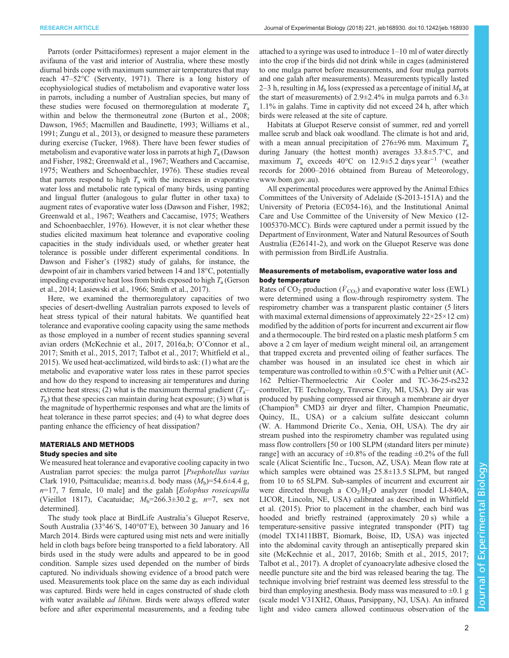Parrots (order Psittaciformes) represent a major element in the avifauna of the vast arid interior of Australia, where these mostly diurnal birds cope with maximum summer air temperatures that may reach 47–52°C ([Serventy, 1971\)](#page-9-0). There is a long history of ecophysiological studies of metabolism and evaporative water loss in parrots, including a number of Australian species, but many of these studies were focused on thermoregulation at moderate  $T_a$ within and below the thermoneutral zone [\(Burton et al., 2008](#page-8-0); [Dawson, 1965](#page-8-0); [Macmillen and Baudinette, 1993](#page-9-0); [Williams et al.,](#page-9-0) [1991](#page-9-0); [Zungu et al., 2013\)](#page-9-0), or designed to measure these parameters during exercise ([Tucker, 1968](#page-9-0)). There have been fewer studies of metabolism and evaporative water loss in parrots at high  $T_a$  [\(Dawson](#page-8-0) [and Fisher, 1982; Greenwald et al., 1967;](#page-8-0) [Weathers and Caccamise,](#page-9-0) [1975](#page-9-0); [Weathers and Schoenbaechler, 1976](#page-9-0)). These studies reveal that parrots respond to high  $T_a$  with the increases in evaporative water loss and metabolic rate typical of many birds, using panting and lingual flutter (analogous to gular flutter in other taxa) to augment rates of evaporative water loss ([Dawson and Fisher, 1982](#page-8-0); [Greenwald et al., 1967;](#page-8-0) [Weathers and Caccamise, 1975; Weathers](#page-9-0) [and Schoenbaechler, 1976\)](#page-9-0). However, it is not clear whether these studies elicited maximum heat tolerance and evaporative cooling capacities in the study individuals used, or whether greater heat tolerance is possible under different experimental conditions. In [Dawson and Fisher](#page-8-0)'s (1982) study of galahs, for instance, the dewpoint of air in chambers varied between 14 and 18°C, potentially impeding evaporative heat loss from birds exposed to high  $T_a$  [\(Gerson](#page-8-0) [et al., 2014; Lasiewski et al., 1966](#page-8-0); [Smith et al., 2017\)](#page-9-0).

Here, we examined the thermoregulatory capacities of two species of desert-dwelling Australian parrots exposed to levels of heat stress typical of their natural habitats. We quantified heat tolerance and evaporative cooling capacity using the same methods as those employed in a number of recent studies spanning several avian orders ([McKechnie et al., 2017](#page-9-0), [2016a](#page-9-0),[b](#page-9-0); O'[Connor et al.,](#page-9-0) [2017](#page-9-0); [Smith et al., 2015, 2017; Talbot et al., 2017](#page-9-0); [Whitfield et al.,](#page-9-0) [2015](#page-9-0)). We used heat-acclimatized, wild birds to ask: (1) what are the metabolic and evaporative water loss rates in these parrot species and how do they respond to increasing air temperatures and during extreme heat stress; (2) what is the maximum thermal gradient ( $T_a$ –  $T<sub>b</sub>$ ) that these species can maintain during heat exposure; (3) what is the magnitude of hyperthermic responses and what are the limits of heat tolerance in these parrot species; and (4) to what degree does panting enhance the efficiency of heat dissipation?

#### MATERIALS AND METHODS

#### Study species and site

We measured heat tolerance and evaporative cooling capacity in two Australian parrot species: the mulga parrot [Psephotellus varius Clark 1910, Psittaculidae; mean±s.d. body mass  $(M_b)$ =54.6±4.4 g,  $n=17$ , 7 female, 10 male] and the galah [Eolophus roseicapilla (Vieillot 1817), Cacatuidae;  $M_b = 266.3 \pm 30.2$  g,  $n=7$ , sex not determined].

The study took place at BirdLife Australia's Gluepot Reserve, South Australia (33°46′S, 140°07′E), between 30 January and 16 March 2014. Birds were captured using mist nets and were initially held in cloth bags before being transported to a field laboratory. All birds used in the study were adults and appeared to be in good condition. Sample sizes used depended on the number of birds captured. No individuals showing evidence of a brood patch were used. Measurements took place on the same day as each individual was captured. Birds were held in cages constructed of shade cloth with water available *ad libitum*. Birds were always offered water before and after experimental measurements, and a feeding tube attached to a syringe was used to introduce 1–10 ml of water directly into the crop if the birds did not drink while in cages (administered to one mulga parrot before measurements, and four mulga parrots and one galah after measurements). Measurements typically lasted 2–3 h, resulting in  $M<sub>b</sub>$  loss (expressed as a percentage of initial  $M<sub>b</sub>$  at the start of measurements) of 2.9 $\pm$ 2.4% in mulga parrots and 6.3 $\pm$ 1.1% in galahs. Time in captivity did not exceed 24 h, after which birds were released at the site of capture.

Habitats at Gluepot Reserve consist of summer, red and yorrell mallee scrub and black oak woodland. The climate is hot and arid, with a mean annual precipitation of  $276\pm96$  mm. Maximum  $T_a$ during January (the hottest month) averages 33.8±5.7°C, and maximum  $T_a$  exceeds 40°C on 12.9±5.2 days year<sup>-1</sup> (weather records for 2000–2016 obtained from Bureau of Meteorology, [www.bom.gov.au](http://www.bom.gov.au)).

All experimental procedures were approved by the Animal Ethics Committees of the University of Adelaide (S-2013-151A) and the University of Pretoria (EC054-16), and the Institutional Animal Care and Use Committee of the University of New Mexico (12- 1005370-MCC). Birds were captured under a permit issued by the Department of Environment, Water and Natural Resources of South Australia (E26141-2), and work on the Gluepot Reserve was done with permission from BirdLife Australia.

# Measurements of metabolism, evaporative water loss and body temperature

Rates of CO<sub>2</sub> production ( $\dot{V}_{\text{CO}_2}$ ) and evaporative water loss (EWL) were determined using a flow-through respirometry system. The respirometry chamber was a transparent plastic container (5 liters with maximal external dimensions of approximately  $22 \times 25 \times 12$  cm) modified by the addition of ports for incurrent and excurrent air flow and a thermocouple. The bird rested on a plastic mesh platform 5 cm above a 2 cm layer of medium weight mineral oil, an arrangement that trapped excreta and prevented oiling of feather surfaces. The chamber was housed in an insulated ice chest in which air temperature was controlled to within ±0.5°C with a Peltier unit (AC-162 Peltier-Thermoelectric Air Cooler and TC-36-25-rs232 controller, TE Technology, Traverse City, MI, USA). Dry air was produced by pushing compressed air through a membrane air dryer (Champion® CMD3 air dryer and filter, Champion Pneumatic, Quincy, IL, USA) or a calcium sulfate desiccant column (W. A. Hammond Drierite Co., Xenia, OH, USA). The dry air stream pushed into the respirometry chamber was regulated using mass flow controllers [50 or 100 SLPM (standard liters per minute) range] with an accuracy of  $\pm 0.8\%$  of the reading  $\pm 0.2\%$  of the full scale (Alicat Scientific Inc., Tucson, AZ, USA). Mean flow rate at which samples were obtained was 25.8±13.5 SLPM, but ranged from 10 to 65 SLPM. Sub-samples of incurrent and excurrent air were directed through a  $CO<sub>2</sub>/H<sub>2</sub>O$  analyzer (model LI-840A, LICOR, Lincoln, NE, USA) calibrated as described in [Whitfield](#page-9-0) [et al. \(2015\).](#page-9-0) Prior to placement in the chamber, each bird was hooded and briefly restrained (approximately 20 s) while a temperature-sensitive passive integrated transponder (PIT) tag (model TX1411BBT, Biomark, Boise, ID, USA) was injected into the abdominal cavity through an antiseptically prepared skin site [\(McKechnie et al., 2017](#page-9-0), [2016b; Smith et al., 2015, 2017](#page-9-0); [Talbot et al., 2017\)](#page-9-0). A droplet of cyanoacrylate adhesive closed the needle puncture site and the bird was released bearing the tag. The technique involving brief restraint was deemed less stressful to the bird than employing anesthesia. Body mass was measured to  $\pm 0.1$  g (scale model V31XH2, Ohaus, Parsippany, NJ, USA). An infrared light and video camera allowed continuous observation of the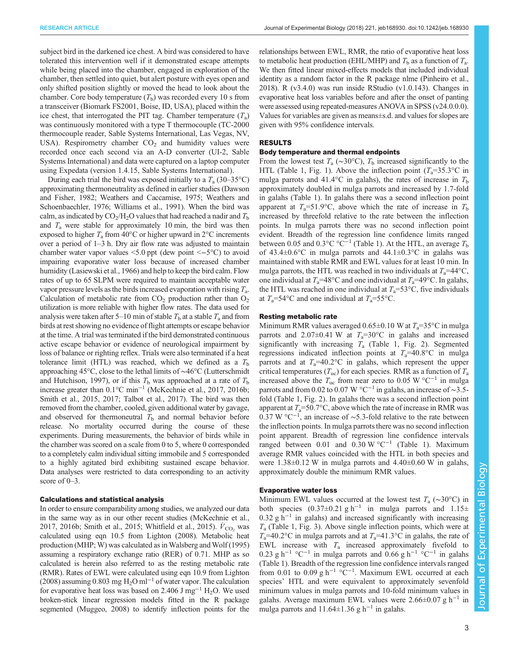subject bird in the darkened ice chest. A bird was considered to have tolerated this intervention well if it demonstrated escape attempts while being placed into the chamber, engaged in exploration of the chamber, then settled into quiet, but alert posture with eyes open and only shifted position slightly or moved the head to look about the chamber. Core body temperature  $(T<sub>b</sub>)$  was recorded every 10 s from a transceiver (Biomark FS2001, Boise, ID, USA), placed within the ice chest, that interrogated the PIT tag. Chamber temperature  $(T_a)$ was continuously monitored with a type T thermocouple (TC-2000 thermocouple reader, Sable Systems International, Las Vegas, NV, USA). Respirometry chamber  $CO<sub>2</sub>$  and humidity values were recorded once each second via an A-D converter (UI-2, Sable Systems International) and data were captured on a laptop computer using Expedata (version 1.4.15, Sable Systems International).

During each trial the bird was exposed initially to a  $T_a$  (30–35°C) approximating thermoneutrality as defined in earlier studies ([Dawson](#page-8-0) [and Fisher, 1982;](#page-8-0) [Weathers and Caccamise, 1975](#page-9-0); [Weathers and](#page-9-0) [Schoenbaechler, 1976; Williams et al., 1991\)](#page-9-0). When the bird was calm, as indicated by  $CO<sub>2</sub>/H<sub>2</sub>O$  values that had reached a nadir and  $T<sub>b</sub>$ and  $T_a$  were stable for approximately 10 min, the bird was then exposed to higher  $T_a$  from 40°C or higher upward in 2°C increments over a period of 1–3 h. Dry air flow rate was adjusted to maintain chamber water vapor values  $\leq 5.0$  ppt (dew point  $\leq -5^{\circ}$ C) to avoid impairing evaporative water loss because of increased chamber humidity [\(Lasiewski et al., 1966\)](#page-8-0) and help to keep the bird calm. Flow rates of up to 65 SLPM were required to maintain acceptable water vapor pressure levels as the birds increased evaporation with rising  $T_a$ . Calculation of metabolic rate from  $CO<sub>2</sub>$  production rather than  $O<sub>2</sub>$ utilization is more reliable with higher flow rates. The data used for analysis were taken after 5–10 min of stable  $T<sub>b</sub>$  at a stable  $T<sub>a</sub>$  and from birds at rest showing no evidence of flight attempts or escape behavior at the time. A trial was terminated if the bird demonstrated continuous active escape behavior or evidence of neurological impairment by loss of balance or righting reflex. Trials were also terminated if a heat tolerance limit (HTL) was reached, which we defined as a  $T<sub>b</sub>$ approaching 45°C, close to the lethal limits of ∼46°C [\(Lutterschmidt](#page-8-0) [and Hutchison, 1997\)](#page-8-0), or if this  $T<sub>b</sub>$  was approached at a rate of  $T<sub>b</sub>$ increase greater than 0.1°C min−<sup>1</sup> [\(McKechnie et al., 2017, 2016b](#page-9-0); [Smith et al., 2015, 2017; Talbot et al., 2017](#page-9-0)). The bird was then removed from the chamber, cooled, given additional water by gavage, and observed for thermoneutral  $T<sub>b</sub>$  and normal behavior before release. No mortality occurred during the course of these experiments. During measurements, the behavior of birds while in the chamber was scored on a scale from 0 to 5, where 0 corresponded to a completely calm individual sitting immobile and 5 corresponded to a highly agitated bird exhibiting sustained escape behavior. Data analyses were restricted to data corresponding to an activity score of 0–3.

## Calculations and statistical analysis

In order to ensure comparability among studies, we analyzed our data in the same way as in our other recent studies ([McKechnie et al.,](#page-9-0) [2017, 2016b](#page-9-0); [Smith et al., 2015](#page-9-0); [Whitfield et al., 2015\)](#page-9-0).  $\dot{V}_{\text{CO}_2}$  was calculated using eqn 10.5 from [Lighton \(2008\)](#page-8-0). Metabolic heat production (MHP; W) was calculated as in [Walsberg and Wolf \(1995\)](#page-9-0) assuming a respiratory exchange ratio (RER) of 0.71. MHP as so calculated is herein also referred to as the resting metabolic rate (RMR). Rates of EWL were calculated using eqn 10.9 from [Lighton](#page-8-0) [\(2008\)](#page-8-0) assuming 0.803 mg H2O ml<sup>−</sup><sup>1</sup> of water vapor. The calculation for evaporative heat loss was based on 2.406 J mg<sup>-1</sup> H<sub>2</sub>O. We used broken-stick linear regression models fitted in the R package segmented [\(Muggeo, 2008](#page-9-0)) to identify inflection points for the relationships between EWL, RMR, the ratio of evaporative heat loss to metabolic heat production (EHL/MHP) and  $T<sub>b</sub>$  as a function of  $T<sub>a</sub>$ . We then fitted linear mixed-effects models that included individual identity as a random factor in the R package nlme ([Pinheiro et al.,](#page-9-0) [2018\)](#page-9-0). R (v3.4.0) was run inside RStudio (v1.0.143). Changes in evaporative heat loss variables before and after the onset of panting were assessed using repeated-measures ANOVA in SPSS (v24.0.0.0). Values for variables are given as means±s.d. and values for slopes are given with 95% confidence intervals.

#### RESULTS

## Body temperature and thermal endpoints

From the lowest test  $T_a$  (∼30°C),  $T_b$  increased significantly to the HTL ([Table 1](#page-3-0), [Fig. 1](#page-4-0)). Above the inflection point  $(T_a=35.3^{\circ}\text{C}$  in mulga parrots and 41.4 $\degree$ C in galahs), the rates of increase in  $T_{\rm b}$ approximately doubled in mulga parrots and increased by 1.7-fold in galahs ([Table 1](#page-3-0)). In galahs there was a second inflection point apparent at  $T_a=51.9$ °C, above which the rate of increase in  $T_b$ increased by threefold relative to the rate between the inflection points. In mulga parrots there was no second inflection point evident. Breadth of the regression line confidence limits ranged between 0.05 and 0.3°C °C<sup>-1</sup> ([Table 1\)](#page-3-0). At the HTL, an average  $T<sub>b</sub>$ of 43.4±0.6°C in mulga parrots and 44.1±0.3°C in galahs was maintained with stable RMR and EWL values for at least 10 min. In mulga parrots, the HTL was reached in two individuals at  $T_a=44^{\circ}C$ , one individual at  $T_a=48^{\circ}\text{C}$  and one individual at  $T_a=49^{\circ}\text{C}$ . In galahs, the HTL was reached in one individual at  $T_a = 53^{\circ}$ C, five individuals at  $T_a = 54^{\circ}$ C and one individual at  $T_a = 55^{\circ}$ C.

## Resting metabolic rate

Minimum RMR values averaged 0.65 $\pm$ 0.10 W at  $T_a$ =35°C in mulga parrots and 2.07 $\pm$ 0.41 W at  $T_a$ =30°C in galahs and increased significantly with increasing  $T_a$  [\(Table 1](#page-3-0), [Fig. 2](#page-4-0)). Segmented regressions indicated inflection points at  $T_a=40.8$ °C in mulga parrots and at  $T_a=40.2$ °C in galahs, which represent the upper critical temperatures ( $T_{\text{uc}}$ ) for each species. RMR as a function of  $T_{\text{a}}$ increased above the  $T_{\text{uc}}$  from near zero to 0.05 W °C<sup>−1</sup> in mulga parrots and from 0.02 to 0.07 W °C−<sup>1</sup> in galahs, an increase of ∼3.5 fold ([Table 1](#page-3-0), [Fig. 2](#page-4-0)). In galahs there was a second inflection point apparent at  $T_a = 50.7$ °C, above which the rate of increase in RMR was 0.37 W °C<sup>-1</sup>, an increase of ~5.3-fold relative to the rate between the inflection points. In mulga parrots there was no second inflection point apparent. Breadth of regression line confidence intervals ranged between 0.01 and 0.30 W °C−<sup>1</sup> [\(Table 1](#page-3-0)). Maximum average RMR values coincided with the HTL in both species and were  $1.38\pm0.12$  W in mulga parrots and  $4.40\pm0.60$  W in galahs, approximately double the minimum RMR values.

#### Evaporative water loss

Minimum EWL values occurred at the lowest test  $T_a (\sim 30^{\circ}C)$  in both species  $(0.37\pm0.21 \text{ g h}^{-1})$  in mulga parrots and 1.15 $\pm$ 0.32 g h<sup>-1</sup> in galahs) and increased significantly with increasing  $T_a$  [\(Table 1,](#page-3-0) [Fig. 3\)](#page-5-0). Above single inflection points, which were at  $T_a$ =40.2°C in mulga parrots and at  $T_a$ =41.3°C in galahs, the rate of EWL increase with  $T_a$  increased approximately fivefold to 0.23 g h<sup>-1</sup> °C<sup>-1</sup> in mulga parrots and 0.66 g h<sup>-1</sup> °C<sup>-1</sup> in galahs [\(Table 1\)](#page-3-0). Breadth of the regression line confidence intervals ranged from 0.01 to 0.09 g h<sup>-1</sup> °C<sup>-1</sup>. Maximum EWL occurred at each species' HTL and were equivalent to approximately sevenfold minimum values in mulga parrots and 10-fold minimum values in galahs. Average maximum EWL values were  $2.66\pm0.07$  g h<sup>-1</sup> mulga parrots and 11.64 $\pm$ 1.36 g h<sup>-1</sup> in galahs.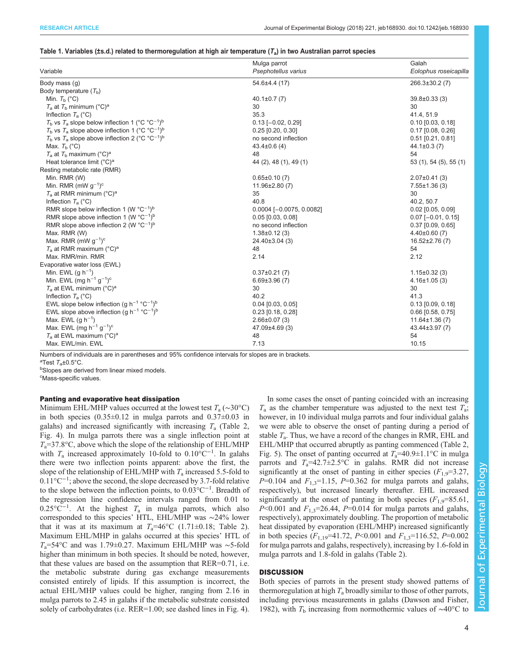#### <span id="page-3-0"></span>Table 1. Variables (±s.d.) related to thermoregulation at high air temperature ( $T_a$ ) in two Australian parrot species

|                                                                                         | Mulga parrot               | Galah                  |  |  |
|-----------------------------------------------------------------------------------------|----------------------------|------------------------|--|--|
| Variable                                                                                | Psephotellus varius        | Eolophus roseicapilla  |  |  |
| Body mass (g)                                                                           | 54.6±4.4 (17)              | 266.3±30.2 (7)         |  |  |
| Body temperature $(Tb)$                                                                 |                            |                        |  |  |
| Min. $T_{\rm b}$ (°C)                                                                   | $40.1 \pm 0.7$ (7)         | $39.8 \pm 0.33(3)$     |  |  |
| $T_a$ at $T_b$ minimum (°C) <sup>a</sup>                                                | 30                         | 30                     |  |  |
| Inflection $T_a$ (°C)                                                                   | 35.3                       | 41.4, 51.9             |  |  |
| $Th$ vs $Ta$ slope below inflection 1 (°C °C <sup>-1</sup> ) <sup>b</sup>               | $0.13$ [-0.02, 0.29]       | $0.10$ $[0.03, 0.18]$  |  |  |
| $T_{\rm b}$ vs $T_{\rm a}$ slope above inflection 1 (°C °C <sup>-1</sup> ) <sup>b</sup> | $0.25$ [0.20, 0.30]        | $0.17$ [0.08, 0.26]    |  |  |
| $T_{\rm b}$ vs $T_{\rm a}$ slope above inflection 2 (°C °C <sup>-1</sup> ) <sup>b</sup> | no second inflection       | 0.51 [0.21, 0.81]      |  |  |
| Max. $T_{\rm b}$ (°C)                                                                   | $43.4\pm0.6(4)$            | $44.1 \pm 0.3$ (7)     |  |  |
| $T_a$ at $T_b$ maximum (°C) <sup>a</sup>                                                | 48                         | 54                     |  |  |
| Heat tolerance limit (°C) <sup>a</sup>                                                  | 44 (2), 48 (1), 49 (1)     | 53 (1), 54 (5), 55 (1) |  |  |
| Resting metabolic rate (RMR)                                                            |                            |                        |  |  |
| Min. RMR (W)                                                                            | $0.65 \pm 0.10(7)$         | $2.07 \pm 0.41$ (3)    |  |  |
| Min. RMR (mW $q^{-1}$ ) <sup>c</sup>                                                    | 11.96±2.80(7)              | $7.55 \pm 1.36(3)$     |  |  |
| $T_a$ at RMR minimum (°C) <sup>a</sup>                                                  | 35                         | 30                     |  |  |
| Inflection $T_a$ (°C)                                                                   | 40.8                       | 40.2, 50.7             |  |  |
| RMR slope below inflection 1 (W $^{\circ}$ C <sup>-1</sup> ) <sup>b</sup>               | $0.0004$ [-0.0075, 0.0082] | $0.02$ [0.05, 0.09]    |  |  |
| RMR slope above inflection 1 (W $^{\circ}$ C <sup>-1</sup> ) <sup>b</sup>               | $0.05$ [0.03, 0.08]        | $0.07$ [-0.01, 0.15]   |  |  |
| RMR slope above inflection 2 (W $^{\circ}$ C <sup>-1</sup> ) <sup>b</sup>               | no second inflection       | $0.37$ [0.09, 0.65]    |  |  |
| Max. RMR (W)                                                                            | $1.38\pm0.12(3)$           | $4.40\pm0.60(7)$       |  |  |
| Max. RMR (mW $g^{-1}$ ) <sup>c</sup>                                                    | 24.40±3.04 (3)             | 16.52±2.76 (7)         |  |  |
| $T_a$ at RMR maximum (°C) <sup>a</sup>                                                  | 48                         | 54                     |  |  |
| Max. RMR/min. RMR                                                                       | 2.14                       | 2.12                   |  |  |
| Evaporative water loss (EWL)                                                            |                            |                        |  |  |
| Min. EWL $(q h^{-1})$                                                                   | $0.37 \pm 0.21(7)$         | $1.15 \pm 0.32$ (3)    |  |  |
| Min. EWL (mg $h^{-1}$ g <sup>-1</sup> ) <sup>c</sup>                                    | $6.69\pm3.96(7)$           | $4.16\pm1.05(3)$       |  |  |
| $T_a$ at EWL minimum (°C) <sup>a</sup>                                                  | 30                         | 30                     |  |  |
| Inflection $T_a$ (°C)                                                                   | 40.2                       | 41.3                   |  |  |
| EWL slope below inflection (g h <sup>-1</sup> °C <sup>-1</sup> ) <sup>b</sup>           | $0.04$ [0.03, 0.05]        | $0.13$ [0.09, 0.18]    |  |  |
| EWL slope above inflection (g $h^{-1}$ °C <sup>-1</sup> ) <sup>b</sup>                  | $0.23$ [0.18, 0.28]        | $0.66$ [0.58, 0.75]    |  |  |
| Max. EWL (g $h^{-1}$ )                                                                  | $2.66 \pm 0.07$ (3)        | $11.64 \pm 1.36(7)$    |  |  |
| Max. EWL (mg $h^{-1}$ g <sup>-1</sup> ) <sup>c</sup>                                    | 47.09±4.69(3)              | $43.44 \pm 3.97(7)$    |  |  |
| $T_a$ at EWL maximum (°C) <sup>a</sup>                                                  | 48                         | 54                     |  |  |
| Max. EWL/min. EWL                                                                       | 7.13                       | 10.15                  |  |  |

Numbers of individuals are in parentheses and 95% confidence intervals for slopes are in brackets.

 $\rm ^{a}$ Test  $T_{\rm a}$ ±0.5°C.<br><sup>b</sup>Slopes are der

**bSlopes are derived from linear mixed models.** 

c Mass-specific values.

## Panting and evaporative heat dissipation

Minimum EHL/MHP values occurred at the lowest test  $T_a (\sim 30^{\circ}C)$ in both species  $(0.35\pm0.12)$  in mulga parrots and  $0.37\pm0.03$  in galahs) and increased significantly with increasing  $T_a$  [\(Table 2,](#page-5-0) [Fig. 4](#page-6-0)). In mulga parrots there was a single inflection point at  $T_a$ =37.8°C, above which the slope of the relationship of EHL/MHP with  $T_a$  increased approximately 10-fold to 0.10°C<sup>-1</sup>. In galahs there were two inflection points apparent: above the first, the slope of the relationship of EHL/MHP with  $T_a$  increased 5.5-fold to 0.11°C−<sup>1</sup> ; above the second, the slope decreased by 3.7-fold relative to the slope between the inflection points, to 0.03°C−<sup>1</sup> . Breadth of the regression line confidence intervals ranged from 0.01 to  $0.25\degree C^{-1}$ . At the highest  $T_a$  in mulga parrots, which also corresponded to this species' HTL, EHL/MHP was ∼24% lower that it was at its maximum at  $T_a=46^{\circ}\text{C}$  (1.71 $\pm$ 0.18; [Table 2\)](#page-5-0). Maximum EHL/MHP in galahs occurred at this species' HTL of Ta=54°C and was 1.79±0.27. Maximum EHL/MHP was ∼5-fold higher than minimum in both species. It should be noted, however, that these values are based on the assumption that RER=0.71, i.e. the metabolic substrate during gas exchange measurements consisted entirely of lipids. If this assumption is incorrect, the actual EHL/MHP values could be higher, ranging from 2.16 in mulga parrots to 2.45 in galahs if the metabolic substrate consisted solely of carbohydrates (i.e. RER=1.00; see dashed lines in [Fig. 4\)](#page-6-0).

In some cases the onset of panting coincided with an increasing  $T_a$  as the chamber temperature was adjusted to the next test  $T_a$ ; however, in 10 individual mulga parrots and four individual galahs we were able to observe the onset of panting during a period of stable  $T_a$ . Thus, we have a record of the changes in RMR, EHL and EHL/MHP that occurred abruptly as panting commenced [\(Table 2,](#page-5-0) [Fig. 5\)](#page-7-0). The onset of panting occurred at  $T_a=40.9\pm1.1^{\circ}\text{C}$  in mulga parrots and  $T_a=42.7\pm2.5$ °C in galahs. RMR did not increase significantly at the onset of panting in either species  $(F_{1,9}=3.27,$  $P=0.104$  and  $F_{1,3}=1.15$ ,  $P=0.362$  for mulga parrots and galahs, respectively), but increased linearly thereafter. EHL increased significantly at the onset of panting in both species  $(F_1, 9=85.61,$  $P<0.001$  and  $F<sub>1,3</sub>=26.44$ ,  $P=0.014$  for mulga parrots and galahs, respectively), approximately doubling. The proportion of metabolic heat dissipated by evaporation (EHL/MHP) increased significantly in both species  $(F_{1,19}=41.72, P<0.001$  and  $F_{1,3}=116.52, P=0.002$ for mulga parrots and galahs, respectively), increasing by 1.6-fold in mulga parrots and 1.8-fold in galahs ([Table 2](#page-5-0)).

#### **DISCUSSION**

Both species of parrots in the present study showed patterns of thermoregulation at high  $T_a$  broadly similar to those of other parrots, including previous measurements in galahs [\(Dawson and Fisher,](#page-8-0) [1982\)](#page-8-0), with  $T<sub>b</sub>$  increasing from normothermic values of ~40°C to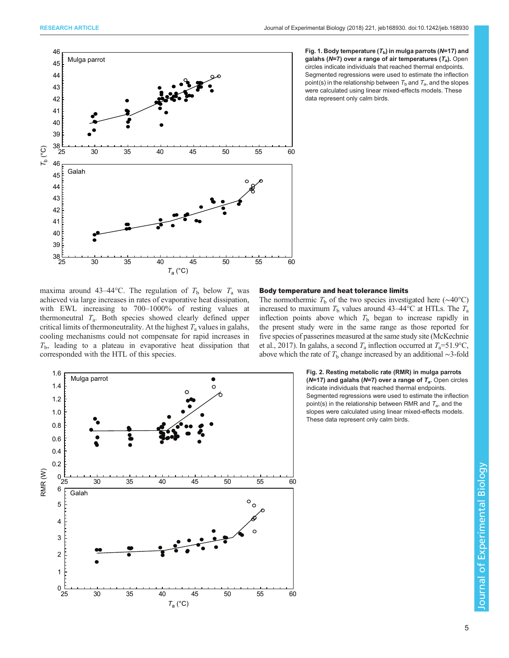<span id="page-4-0"></span>

Fig. 1. Body temperature  $(T_b)$  in mulga parrots (N=17) and galahs (N=7) over a range of air temperatures ( $T_a$ ). Open circles indicate individuals that reached thermal endpoints. Segmented regressions were used to estimate the inflection point(s) in the relationship between  $T_b$  and  $T_a$ , and the slopes were calculated using linear mixed-effects models. These data represent only calm birds.



#### Body temperature and heat tolerance limits

The normothermic  $T<sub>b</sub>$  of the two species investigated here ( $\sim$ 40°C) increased to maximum  $T<sub>b</sub>$  values around 43–44°C at HTLs. The  $T<sub>a</sub>$ inflection points above which  $T<sub>b</sub>$  began to increase rapidly in the present study were in the same range as those reported for five species of passerines measured at the same study site [\(McKechnie](#page-9-0) [et al., 2017\)](#page-9-0). In galahs, a second  $T_a$  inflection occurred at  $T_a = 51.9$ °C, above which the rate of  $T_b$  change increased by an additional ∼3-fold



Fig. 2. Resting metabolic rate (RMR) in mulga parrots ( $N=17$ ) and galahs ( $N=7$ ) over a range of  $T_a$ . Open circles indicate individuals that reached thermal endpoints. Segmented regressions were used to estimate the inflection point(s) in the relationship between RMR and  $T_a$ , and the slopes were calculated using linear mixed-effects models. These data represent only calm birds.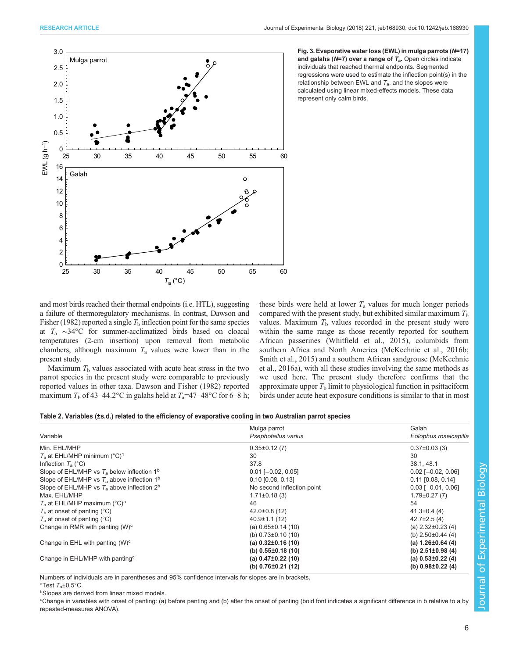<span id="page-5-0"></span>



and most birds reached their thermal endpoints (i.e. HTL), suggesting a failure of thermoregulatory mechanisms. In contrast, [Dawson and](#page-8-0) [Fisher \(1982\)](#page-8-0) reported a single  $T<sub>b</sub>$  inflection point for the same species at  $T_a \sim 34$ °C for summer-acclimatized birds based on cloacal temperatures (2-cm insertion) upon removal from metabolic chambers, although maximum  $T_a$  values were lower than in the present study.

Maximum  $T<sub>b</sub>$  values associated with acute heat stress in the two parrot species in the present study were comparable to previously reported values in other taxa. [Dawson and Fisher \(1982\)](#page-8-0) reported maximum  $T_b$  of 43–44.2°C in galahs held at  $T_a$ =47–48°C for 6–8 h; these birds were held at lower  $T_a$  values for much longer periods compared with the present study, but exhibited similar maximum  $T<sub>b</sub>$ values. Maximum  $T<sub>b</sub>$  values recorded in the present study were within the same range as those recently reported for southern African passerines [\(Whitfield et al., 2015](#page-9-0)), columbids from southern Africa and North America ([McKechnie et al., 2016b](#page-9-0); [Smith et al., 2015\)](#page-9-0) and a southern African sandgrouse ([McKechnie](#page-9-0) [et al., 2016a](#page-9-0)), with all these studies involving the same methods as we used here. The present study therefore confirms that the approximate upper  $T<sub>b</sub>$  limit to physiological function in psittaciform birds under acute heat exposure conditions is similar to that in most

| Table 2. Variables (±s.d.) related to the efficiency of evaporative cooling in two Australian parrot species |  |  |  |  |  |
|--------------------------------------------------------------------------------------------------------------|--|--|--|--|--|
|                                                                                                              |  |  |  |  |  |
|                                                                                                              |  |  |  |  |  |

|                                                           | Mulga parrot               | Galah<br>Eolophus roseicapilla |  |  |
|-----------------------------------------------------------|----------------------------|--------------------------------|--|--|
| Variable                                                  | Psephotellus varius        |                                |  |  |
| Min. EHL/MHP                                              | $0.35\pm0.12(7)$           | $0.37\pm0.03(3)$               |  |  |
| $T_a$ at EHL/MHP minimum (°C) <sup>1</sup>                | 30                         | 30                             |  |  |
| Inflection $T_a$ (°C)                                     | 37.8                       | 38.1, 48.1                     |  |  |
| Slope of EHL/MHP vs $T_a$ below inflection 1 <sup>b</sup> | $0.01$ [-0.02, 0.05]       | $0.02$ [-0.02, 0.06]           |  |  |
| Slope of EHL/MHP vs $T_a$ above inflection 1 <sup>b</sup> | $0.10$ [0.08, 0.13]        | $0.11$ [0.08, 0.14]            |  |  |
| Slope of EHL/MHP vs $T_a$ above inflection $2^b$          | No second inflection point | $0.03$ [-0.01, 0.06]           |  |  |
| Max. EHL/MHP                                              | $1.71\pm0.18(3)$           | $1.79 \pm 0.27$ (7)            |  |  |
| $T_a$ at EHL/MHP maximum (°C) <sup>a</sup>                | 46                         | 54                             |  |  |
| $Tb$ at onset of panting (°C)                             | $42.0 \pm 0.8$ (12)        | $41.3 \pm 0.4$ (4)             |  |  |
| $T_a$ at onset of panting (°C)                            | $40.9 \pm 1.1(12)$         | $42.7\pm2.5(4)$                |  |  |
| Change in RMR with panting $(W)^\circ$                    | (a) $0.65\pm0.14$ (10)     | (a) $2.32\pm0.23$ (4)          |  |  |
|                                                           | (b) $0.73\pm0.10$ (10)     | (b) $2.50\pm0.44$ (4)          |  |  |
| Change in EHL with panting $(W)^\circ$                    | (a) $0.32\pm0.16$ (10)     | (a) $1.26 \pm 0.64$ (4)        |  |  |
|                                                           | (b) 0.55±0.18 (10)         | (b) $2.51 \pm 0.98$ (4)        |  |  |
| Change in EHL/MHP with panting <sup>c</sup>               | (a) $0.47\pm0.22$ (10)     | (a) $0.53\pm0.22$ (4)          |  |  |
|                                                           | (b) 0.76±0.21 (12)         | (b) 0.98±0.22 (4)              |  |  |

Numbers of individuals are in parentheses and 95% confidence intervals for slopes are in brackets.

 $a$ Test  $T_a \pm 0.5$ °C.

ªTest 7<sub>a</sub>±0.5°C.<br><sup>b</sup>Slopes are derived from linear mixed models.

c Change in variables with onset of panting: (a) before panting and (b) after the onset of panting (bold font indicates a significant difference in b relative to a by repeated-measures ANOVA).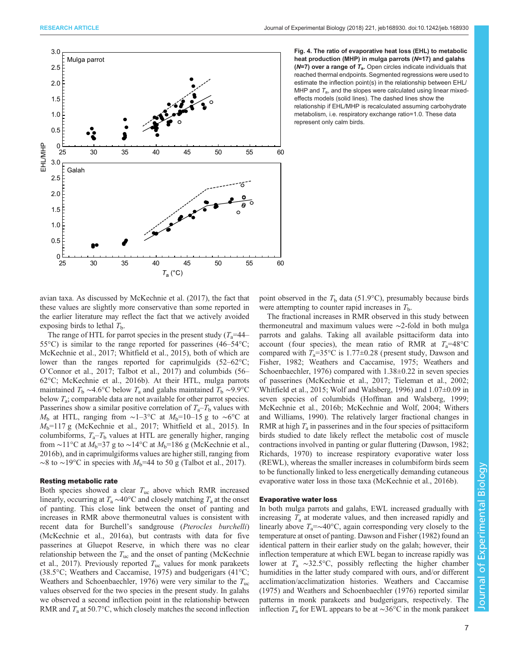<span id="page-6-0"></span>

Fig. 4. The ratio of evaporative heat loss (EHL) to metabolic heat production (MHP) in mulga parrots (N=17) and galahs ( $N=7$ ) over a range of  $T_a$ . Open circles indicate individuals that reached thermal endpoints. Segmented regressions were used to estimate the inflection point(s) in the relationship between EHL/ MHP and  $T_a$ , and the slopes were calculated using linear mixedeffects models (solid lines). The dashed lines show the relationship if EHL/MHP is recalculated assuming carbohydrate metabolism, i.e. respiratory exchange ratio=1.0. These data represent only calm birds.

avian taxa. As discussed by [McKechnie et al. \(2017\),](#page-9-0) the fact that these values are slightly more conservative than some reported in the earlier literature may reflect the fact that we actively avoided exposing birds to lethal  $T<sub>b</sub>$ .

The range of HTL for parrot species in the present study  $(T_a=44 55^{\circ}$ C) is similar to the range reported for passerines (46–54 $^{\circ}$ C; [McKechnie et al., 2017; Whitfield et al., 2015\)](#page-9-0), both of which are lower than the ranges reported for caprimulgids (52–62°C; O'[Connor et al., 2017; Talbot et al., 2017\)](#page-9-0) and columbids (56– 62°C; [McKechnie et al., 2016b\)](#page-9-0). At their HTL, mulga parrots maintained  $T_b \sim 4.6$ °C below  $T_a$  and galahs maintained  $T_b \sim 9.9$ °C below  $T_a$ ; comparable data are not available for other parrot species. Passerines show a similar positive correlation of  $T_a - T_b$  values with  $M<sub>b</sub>$  at HTL, ranging from ~1–3°C at  $M<sub>b</sub>=10-15$  g to ~6°C at  $M<sub>b</sub>=117 g$  ([McKechnie et al., 2017](#page-9-0); [Whitfield et al., 2015](#page-9-0)). In columbiforms,  $T_a - T_b$  values at HTL are generally higher, ranging from ~11°C at  $M_b$ =37 g to ~14°C at  $M_b$ =186 g ([McKechnie et al.,](#page-9-0) [2016b\)](#page-9-0), and in caprimulgiforms values are higher still, ranging from  $\sim$ 8 to  $\sim$ 19°C in species with  $M_b$ =44 to 50 g [\(Talbot et al., 2017\)](#page-9-0).

## Resting metabolic rate

Both species showed a clear  $T_{\text{uc}}$  above which RMR increased linearly, occurring at  $T_a \sim 40^{\circ}$ C and closely matching  $T_a$  at the onset of panting. This close link between the onset of panting and increases in RMR above thermoneutral values is consistent with recent data for Burchell's sandgrouse (Pterocles burchelli) [\(McKechnie et al., 2016a](#page-9-0)), but contrasts with data for five passerines at Gluepot Reserve, in which there was no clear relationship between the  $T_{\text{uc}}$  and the onset of panting ([McKechnie](#page-9-0) [et al., 2017\)](#page-9-0). Previously reported  $T_{\text{uc}}$  values for monk parakeets (38.5°C; [Weathers and Caccamise, 1975\)](#page-9-0) and budgerigars (41°C; [Weathers and Schoenbaechler, 1976](#page-9-0)) were very similar to the  $T_{uc}$ values observed for the two species in the present study. In galahs we observed a second inflection point in the relationship between RMR and  $T_a$  at 50.7 $\degree$ C, which closely matches the second inflection point observed in the  $T<sub>b</sub>$  data (51.9°C), presumably because birds were attempting to counter rapid increases in  $T<sub>b</sub>$ .

The fractional increases in RMR observed in this study between thermoneutral and maximum values were ∼2-fold in both mulga parrots and galahs. Taking all available psittaciform data into account (four species), the mean ratio of RMR at  $T_a=48^{\circ}$ C compared with  $T_a=35^{\circ}\text{C}$  is 1.77 $\pm$ 0.28 (present study, [Dawson and](#page-8-0) [Fisher, 1982](#page-8-0); [Weathers and Caccamise, 1975; Weathers and](#page-9-0) [Schoenbaechler, 1976\)](#page-9-0) compared with 1.38±0.22 in seven species of passerines [\(McKechnie et al., 2017; Tieleman et al., 2002](#page-9-0); [Whitfield et al., 2015](#page-9-0); [Wolf and Walsberg, 1996](#page-9-0)) and 1.07±0.09 in seven species of columbids ([Hoffman and Walsberg, 1999](#page-8-0); [McKechnie et al., 2016b; McKechnie and Wolf, 2004; Withers](#page-9-0) [and Williams, 1990](#page-9-0)). The relatively larger fractional changes in RMR at high  $T_a$  in passerines and in the four species of psittaciform birds studied to date likely reflect the metabolic cost of muscle contractions involved in panting or gular fluttering ([Dawson, 1982](#page-8-0); [Richards, 1970](#page-9-0)) to increase respiratory evaporative water loss (REWL), whereas the smaller increases in columbiform birds seem to be functionally linked to less energetically demanding cutaneous evaporative water loss in those taxa [\(McKechnie et al., 2016b](#page-9-0)).

## Evaporative water loss

In both mulga parrots and galahs, EWL increased gradually with increasing  $T_a$  at moderate values, and then increased rapidly and linearly above  $T_a = \sim 40$ °C, again corresponding very closely to the temperature at onset of panting. [Dawson and Fisher \(1982\)](#page-8-0) found an identical pattern in their earlier study on the galah; however, their inflection temperature at which EWL began to increase rapidly was lower at  $T_a \sim 32.5$ °C, possibly reflecting the higher chamber humidities in the latter study compared with ours, and/or different acclimation/acclimatization histories. [Weathers and Caccamise](#page-9-0) [\(1975\)](#page-9-0) and [Weathers and Schoenbaechler \(1976\)](#page-9-0) reported similar patterns in monk parakeets and budgerigars, respectively. The inflection  $T_a$  for EWL appears to be at ~36°C in the monk parakeet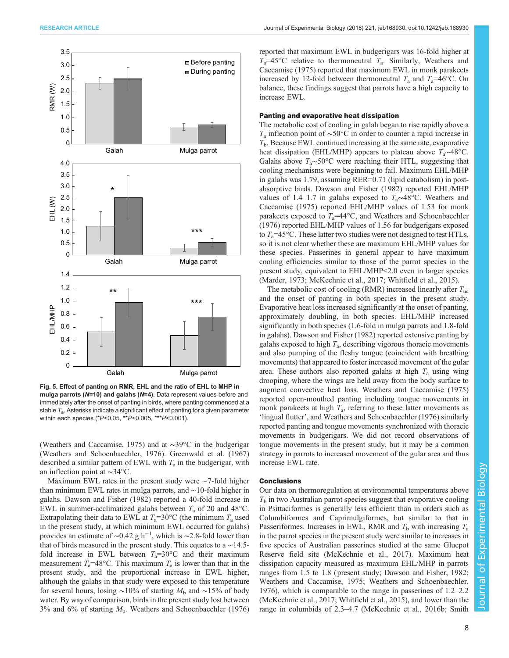<span id="page-7-0"></span>

Fig. 5. Effect of panting on RMR, EHL and the ratio of EHL to MHP in mulga parrots (N=10) and galahs (N=4). Data represent values before and immediately after the onset of panting in birds, where panting commenced at a stable  $T_a$ . Asterisks indicate a significant effect of panting for a given parameter within each species (\*P<0.05, \*\*P<0.005, \*\*\*P<0.001).

[\(Weathers and Caccamise, 1975](#page-9-0)) and at ∼39°C in the budgerigar [\(Weathers and Schoenbaechler, 1976](#page-9-0)). [Greenwald et al. \(1967\)](#page-8-0) described a similar pattern of EWL with  $T_a$  in the budgerigar, with an inflection point at ∼34°C.

Maximum EWL rates in the present study were ∼7-fold higher than minimum EWL rates in mulga parrots, and ∼10-fold higher in galahs. [Dawson and Fisher \(1982\)](#page-8-0) reported a 40-fold increase in EWL in summer-acclimatized galahs between  $T_a$  of 20 and 48°C. Extrapolating their data to EWL at  $T_a=30\textdegree C$  (the minimum  $T_a$  used in the present study, at which minimum EWL occurred for galahs) provides an estimate of  $\sim$ 0.42 g h<sup>-1</sup>, which is  $\sim$ 2.8-fold lower than that of birds measured in the present study. This equates to a  $\sim$ 14.5fold increase in EWL between  $T_a=30^{\circ}\text{C}$  and their maximum measurement  $T_a=48^{\circ}$ C. This maximum  $T_a$  is lower than that in the present study, and the proportional increase in EWL higher, although the galahs in that study were exposed to this temperature for several hours, losing ∼10% of starting  $M<sub>b</sub>$  and ∼15% of body water. By way of comparison, birds in the present study lost between  $3\%$  and 6% of starting  $M<sub>b</sub>$ . [Weathers and Schoenbaechler \(1976\)](#page-9-0) reported that maximum EWL in budgerigars was 16-fold higher at  $T_a$ =45°C relative to thermoneutral  $T_a$ . Similarly, [Weathers and](#page-9-0) [Caccamise \(1975\)](#page-9-0) reported that maximum EWL in monk parakeets increased by 12-fold between thermoneutral  $T_a$  and  $T_a=46^{\circ}$ C. On balance, these findings suggest that parrots have a high capacity to increase EWL.

#### Panting and evaporative heat dissipation

The metabolic cost of cooling in galah began to rise rapidly above a  $T_a$  inflection point of ~50°C in order to counter a rapid increase in  $T<sub>b</sub>$ . Because EWL continued increasing at the same rate, evaporative heat dissipation (EHL/MHP) appears to plateau above  $T_a \sim 48^\circ \text{C}$ . Galahs above  $T_a \sim 50^{\circ}$ C were reaching their HTL, suggesting that cooling mechanisms were beginning to fail. Maximum EHL/MHP in galahs was 1.79, assuming RER=0.71 (lipid catabolism) in postabsorptive birds. [Dawson and Fisher \(1982\)](#page-8-0) reported EHL/MHP values of 1.4–1.7 in galahs exposed to  $T_a \sim 48$ °C. [Weathers and](#page-9-0) [Caccamise \(1975\)](#page-9-0) reported EHL/MHP values of 1.53 for monk parakeets exposed to  $T_a=44^{\circ}\text{C}$ , and [Weathers and Schoenbaechler](#page-9-0) [\(1976\)](#page-9-0) reported EHL/MHP values of 1.56 for budgerigars exposed to  $T_a = 45^{\circ}$ C. These latter two studies were not designed to test HTLs, so it is not clear whether these are maximum EHL/MHP values for these species. Passerines in general appear to have maximum cooling efficiencies similar to those of the parrot species in the present study, equivalent to EHL/MHP<2.0 even in larger species [\(Marder, 1973; McKechnie et al., 2017](#page-9-0); [Whitfield et al., 2015\)](#page-9-0).

The metabolic cost of cooling (RMR) increased linearly after  $T_{\text{uc}}$ and the onset of panting in both species in the present study. Evaporative heat loss increased significantly at the onset of panting, approximately doubling, in both species. EHL/MHP increased significantly in both species (1.6-fold in mulga parrots and 1.8-fold in galahs). [Dawson and Fisher \(1982\)](#page-8-0) reported extensive panting by galahs exposed to high  $T_a$ , describing vigorous thoracic movements and also pumping of the fleshy tongue (coincident with breathing movements) that appeared to foster increased movement of the gular area. These authors also reported galahs at high  $T_a$  using wing drooping, where the wings are held away from the body surface to augment convective heat loss. [Weathers and Caccamise \(1975\)](#page-9-0) reported open-mouthed panting including tongue movements in monk parakeets at high  $T_a$ , referring to these latter movements as 'lingual flutter', and [Weathers and Schoenbaechler \(1976\)](#page-9-0) similarly reported panting and tongue movements synchronized with thoracic movements in budgerigars. We did not record observations of tongue movements in the present study, but it may be a common strategy in parrots to increased movement of the gular area and thus increase EWL rate.

## **Conclusions**

Our data on thermoregulation at environmental temperatures above  $T<sub>b</sub>$  in two Australian parrot species suggest that evaporative cooling in Psittaciformes is generally less efficient than in orders such as Columbiformes and Caprimulgiformes, but similar to that in Passeriformes. Increases in EWL, RMR and  $T<sub>b</sub>$  with increasing  $T<sub>a</sub>$ in the parrot species in the present study were similar to increases in five species of Australian passerines studied at the same Gluepot Reserve field site ([McKechnie et al., 2017\)](#page-9-0). Maximum heat dissipation capacity measured as maximum EHL/MHP in parrots ranges from 1.5 to 1.8 ( present study; [Dawson and Fisher, 1982](#page-8-0); [Weathers and Caccamise, 1975; Weathers and Schoenbaechler,](#page-9-0) [1976\)](#page-9-0), which is comparable to the range in passerines of 1.2–2.2 [\(McKechnie et al., 2017; Whitfield et al., 2015](#page-9-0)), and lower than the range in columbids of 2.3–4.7 ([McKechnie et al., 2016b](#page-9-0); [Smith](#page-9-0)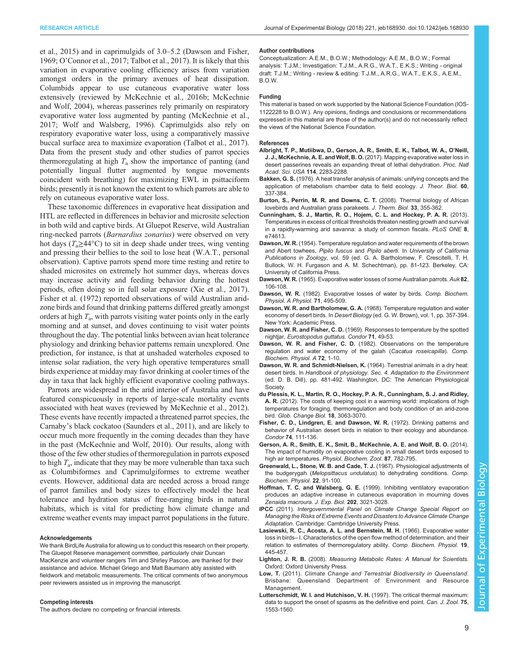<span id="page-8-0"></span>[et al., 2015\)](#page-9-0) and in caprimulgids of 3.0–5.2 (Dawson and Fisher, 1969; O'[Connor et al., 2017; Talbot et al., 2017](#page-9-0)). It is likely that this variation in evaporative cooling efficiency arises from variation amongst orders in the primary avenues of heat dissipation. Columbids appear to use cutaneous evaporative water loss extensively (reviewed by [McKechnie et al., 2016b](#page-9-0); [McKechnie](#page-9-0) [and Wolf, 2004](#page-9-0)), whereas passerines rely primarily on respiratory evaporative water loss augmented by panting [\(McKechnie et al.,](#page-9-0) [2017](#page-9-0); [Wolf and Walsberg, 1996\)](#page-9-0). Caprimulgids also rely on respiratory evaporative water loss, using a comparatively massive buccal surface area to maximize evaporation ([Talbot et al., 2017\)](#page-9-0). Data from the present study and other studies of parrot species thermoregulating at high  $T_a$  show the importance of panting (and potentially lingual flutter augmented by tongue movements coincident with breathing) for maximizing EWL in psittaciform birds; presently it is not known the extent to which parrots are able to rely on cutaneous evaporative water loss.

These taxonomic differences in evaporative heat dissipation and HTL are reflected in differences in behavior and microsite selection in both wild and captive birds. At Gluepot Reserve, wild Australian ring-necked parrots (Barnardius zonarius) were observed on very hot days ( $T_a \geq 44^{\circ}$ C) to sit in deep shade under trees, wing venting and pressing their bellies to the soil to lose heat (W.A.T., personal observation). Captive parrots spend more time resting and retire to shaded microsites on extremely hot summer days, whereas doves may increase activity and feeding behavior during the hottest periods, often doing so in full solar exposure [\(Xie et al., 2017\)](#page-9-0). Fisher et al. (1972) reported observations of wild Australian aridzone birds and found that drinking patterns differed greatly amongst orders at high  $T_a$ , with parrots visiting water points only in the early morning and at sunset, and doves continuing to visit water points throughout the day. The potential links between avian heat tolerance physiology and drinking behavior patterns remain unexplored. One prediction, for instance, is that at unshaded waterholes exposed to intense solar radiation, the very high operative temperatures small birds experience at midday may favor drinking at cooler times of the day in taxa that lack highly efficient evaporative cooling pathways.

Parrots are widespread in the arid interior of Australia and have featured conspicuously in reports of large-scale mortality events associated with heat waves (reviewed by [McKechnie et al., 2012\)](#page-9-0). These events have recently impacted a threatened parrot species, the Carnaby's black cockatoo ([Saunders et al., 2011\)](#page-9-0), and are likely to occur much more frequently in the coming decades than they have in the past ([McKechnie and Wolf, 2010\)](#page-9-0). Our results, along with those of the few other studies of thermoregulation in parrots exposed to high  $T_a$ , indicate that they may be more vulnerable than taxa such as Columbiformes and Caprimulgiformes to extreme weather events. However, additional data are needed across a broad range of parrot families and body sizes to effectively model the heat tolerance and hydration status of free-ranging birds in natural habitats, which is vital for predicting how climate change and extreme weather events may impact parrot populations in the future.

#### Acknowledgements

We thank BirdLife Australia for allowing us to conduct this research on their property. The Gluepot Reserve management committee, particularly chair Duncan MacKenzie and volunteer rangers Tim and Shirley Pascoe, are thanked for their assistance and advice. Michael Griego and Matt Baumann ably assisted with fieldwork and metabolic measurements. The critical comments of two anonymous peer reviewers assisted us in improving the manuscript.

#### Competing interests

The authors declare no competing or financial interests.

#### Author contributions

Conceptualization: A.E.M., B.O.W.; Methodology: A.E.M., B.O.W.; Formal analysis: T.J.M.; Investigation: T.J.M., A.R.G., W.A.T., E.K.S.; Writing - original draft: T.J.M.; Writing - review & editing: T.J.M., A.R.G., W.A.T., E.K.S., A.E.M., B.O.W.

#### Funding

This material is based on work supported by the National Science Foundation (IOS-1122228 to B.O.W.). Any opinions, findings and conclusions or recommendations expressed in this material are those of the author(s) and do not necessarily reflect the views of the National Science Foundation.

#### References

- [Albright, T. P., Mutiibwa, D., Gerson, A. R., Smith, E. K., Talbot, W. A., O](http://dx.doi.org/10.1073/pnas.1613625114)'Neill, J. J., McKechnie, A. E. and Wolf, B. O. [\(2017\). Mapping evaporative water loss in](http://dx.doi.org/10.1073/pnas.1613625114) [desert passerines reveals an expanding threat of lethal dehydration.](http://dx.doi.org/10.1073/pnas.1613625114) Proc. Natl [Acad. Sci. USA](http://dx.doi.org/10.1073/pnas.1613625114) 114, 2283-2288.
- Bakken, G. S. [\(1976\). A heat transfer analysis of animals: unifying concepts and the](http://dx.doi.org/10.1016/0022-5193(76)90063-1) [application of metabolism chamber data to field ecology.](http://dx.doi.org/10.1016/0022-5193(76)90063-1) J. Theor. Biol. 60, [337-384.](http://dx.doi.org/10.1016/0022-5193(76)90063-1)
- [Burton, S., Perrin, M. R. and Downs, C. T.](http://dx.doi.org/10.1016/j.jtherbio.2008.05.003) (2008). Thermal biology of African [lovebirds and Australian grass parakeets.](http://dx.doi.org/10.1016/j.jtherbio.2008.05.003) J. Therm. Biol. 33, 355-362.
- [Cunningham, S. J., Martin, R. O., Hojem, C. L. and Hockey, P. A. R.](http://dx.doi.org/10.1371/journal.pone.0074613) (2013). [Temperatures in excess of critical thresholds threaten nestling growth and survival](http://dx.doi.org/10.1371/journal.pone.0074613) [in a rapidly-warming arid savanna: a study of common fiscals.](http://dx.doi.org/10.1371/journal.pone.0074613) PLoS ONE 8, [e74613.](http://dx.doi.org/10.1371/journal.pone.0074613)
- Dawson, W. R. (1954). Temperature regulation and water requirements of the brown and Abert towhees, Pipilo fuscus and Pipilo aberti. In University of California Publications in Zoology, vol. 59 (ed. G. A. Bartholomew, F. Crescitelli, T. H. Bullock, W. H. Furgason and A. M. Schechtman), pp. 81-123. Berkeley, CA: University of California Press.
- Dawson, W. R. [\(1965\). Evaporative water losses of some Australian parrots.](http://dx.doi.org/10.2307/4082802) Auk 82, [106-108.](http://dx.doi.org/10.2307/4082802)
- Dawson, W. R. [\(1982\). Evaporative losses of water by birds.](http://dx.doi.org/10.1016/0300-9629(82)90198-0) Comp. Biochem. [Physiol. A Physiol.](http://dx.doi.org/10.1016/0300-9629(82)90198-0) 71, 495-509.
- Dawson, W. R. and Bartholomew, G. A. (1968). Temperature regulation and water economy of desert birds. In Desert Biology (ed. G. W. Brown), vol. 1, pp. 357-394. New York: Academic Press.
- Dawson, W. R. and Fisher, C. D. [\(1969\). Responses to temperature by the spotted](http://dx.doi.org/10.2307/1366047) nightjar, [Eurostopodus guttatus](http://dx.doi.org/10.2307/1366047). Condor 71, 49-53.
- Dawson, W. R. and Fisher, C. D. [\(1982\). Observations on the temperature](http://dx.doi.org/10.1016/0300-9629(82)90002-0) [regulation and water economy of the galah \(](http://dx.doi.org/10.1016/0300-9629(82)90002-0)Cacatua roseicapilla). Comp. [Biochem. Physiol. A](http://dx.doi.org/10.1016/0300-9629(82)90002-0) 72, 1-10.
- Dawson, W. R. and Schmidt-Nielsen, K. (1964). Terrestrial animals in a dry heat: desert birds. In Handbook of physiology. Sec. 4. Adaptation to the Environment (ed. D. B. Dill), pp. 481-492. Washington, DC: The American Physiological **Society**
- [du Plessis, K. L., Martin, R. O., Hockey, P. A. R., Cunningham, S. J. and Ridley,](http://dx.doi.org/10.1111/j.1365-2486.2012.02778.x) A. R. [\(2012\). The costs of keeping cool in a warming world: implications of high](http://dx.doi.org/10.1111/j.1365-2486.2012.02778.x) [temperatures for foraging, thermoregulation and body condition of an arid-zone](http://dx.doi.org/10.1111/j.1365-2486.2012.02778.x) bird. [Glob. Change Biol.](http://dx.doi.org/10.1111/j.1365-2486.2012.02778.x) 18, 3063-3070.
- [Fisher, C. D., Lindgren, E. and Dawson, W. R.](http://dx.doi.org/10.2307/1366276) (1972). Drinking patterns and [behavior of Australian desert birds in relation to their ecology and abundance.](http://dx.doi.org/10.2307/1366276) Condor 74[, 111-136.](http://dx.doi.org/10.2307/1366276)
- [Gerson, A. R., Smith, E. K., Smit, B., McKechnie, A. E. and Wolf, B. O.](http://dx.doi.org/10.1086/678956) (2014). [The impact of humidity on evaporative cooling in small desert birds exposed to](http://dx.doi.org/10.1086/678956) high air temperatures. [Physiol. Biochem. Zool.](http://dx.doi.org/10.1086/678956) 87, 782-795.
- [Greenwald, L., Stone, W. B. and Cade, T. J.](http://dx.doi.org/10.1016/0010-406X(67)90170-3) (1967). Physiological adjustments of the budgerygah (Melopsittacus undulatus[\) to dehydrating conditions.](http://dx.doi.org/10.1016/0010-406X(67)90170-3) Comp. [Biochem. Physiol.](http://dx.doi.org/10.1016/0010-406X(67)90170-3) 22, 91-100.
- Hoffman, T. C. and Walsberg, G. E. (1999). Inhibiting ventilatory evaporation produces an adaptive increase in cutaneous evaporation in mourning doves Zenaida macroura. J. Exp. Biol. 202, 3021-3028.
- IPCC (2011). Intergovernmental Panel on Climate Change Special Report on Managing the Risks of Extreme Events and Disasters to Advance Climate Change Adaptation. Cambridge: Cambridge University Press.
- [Lasiewski, R. C., Acosta, A. L. and Bernstein, M. H.](http://dx.doi.org/10.1016/0010-406X(66)90153-8) (1966). Evaporative water loss in birds– [I. Characteristics of the open flow method of determination, and their](http://dx.doi.org/10.1016/0010-406X(66)90153-8) [relation to estimates of thermoregulatory ability.](http://dx.doi.org/10.1016/0010-406X(66)90153-8) Comp. Biochem. Physiol. 19, [445-457.](http://dx.doi.org/10.1016/0010-406X(66)90153-8)
- Lighton, J. R. B. (2008). Measuring Metabolic Rates: A Manual for Scientists. Oxford: Oxford University Press.
- Low, T. (2011). Climate Change and Terrestrial Biodiversity in Queensland. Brisbane: Queensland Department of Environment and Resource Management.
- [Lutterschmidt, W. I. and Hutchison, V. H.](http://dx.doi.org/10.1139/z97-782) (1997). The critical thermal maximum: [data to support the onset of spasms as the definitive end point.](http://dx.doi.org/10.1139/z97-782) Can. J. Zool. 75, [1553-1560.](http://dx.doi.org/10.1139/z97-782)